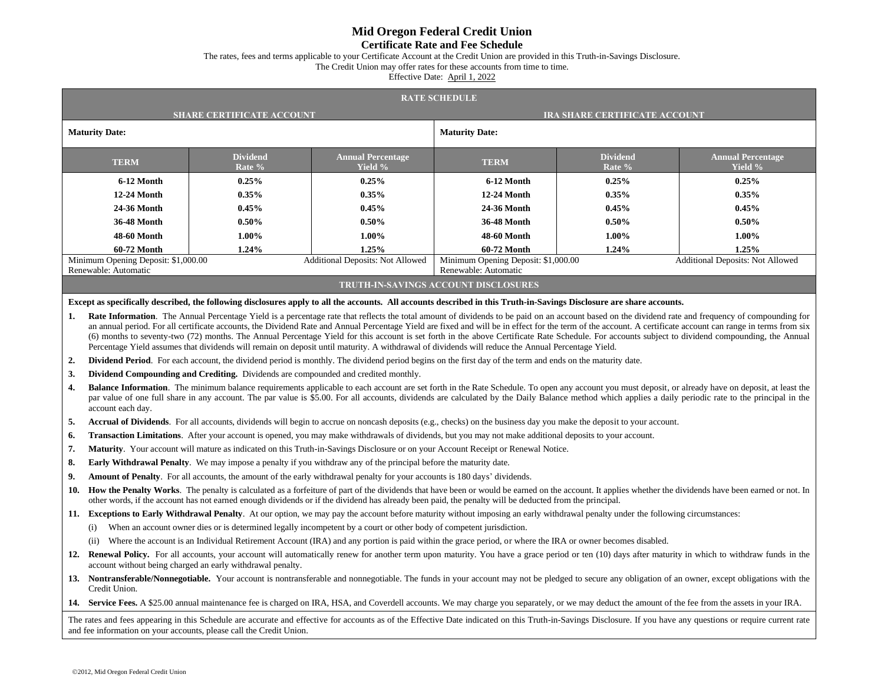## **Mid Oregon Federal Credit Union**

## **Certificate Rate and Fee Schedule**

The rates, fees and terms applicable to your Certificate Account at the Credit Union are provided in this Truth-in-Savings Disclosure.

The Credit Union may offer rates for these accounts from time to time.

Effective Date: April 1, 2022

| <b>RATE SCHEDULE</b>                                                                                                                                                                                                                                                                   |                                                                                                                                                                                                                                                                                                                                                                                                                                                                                                                                                                                                                                                                                                                                                                               |                                  |                                     |                                                                                                                                                                       |                           |                                     |  |  |
|----------------------------------------------------------------------------------------------------------------------------------------------------------------------------------------------------------------------------------------------------------------------------------------|-------------------------------------------------------------------------------------------------------------------------------------------------------------------------------------------------------------------------------------------------------------------------------------------------------------------------------------------------------------------------------------------------------------------------------------------------------------------------------------------------------------------------------------------------------------------------------------------------------------------------------------------------------------------------------------------------------------------------------------------------------------------------------|----------------------------------|-------------------------------------|-----------------------------------------------------------------------------------------------------------------------------------------------------------------------|---------------------------|-------------------------------------|--|--|
|                                                                                                                                                                                                                                                                                        |                                                                                                                                                                                                                                                                                                                                                                                                                                                                                                                                                                                                                                                                                                                                                                               | <b>SHARE CERTIFICATE ACCOUNT</b> |                                     | <b>IRA SHARE CERTIFICATE ACCOUNT</b>                                                                                                                                  |                           |                                     |  |  |
| <b>Maturity Date:</b>                                                                                                                                                                                                                                                                  |                                                                                                                                                                                                                                                                                                                                                                                                                                                                                                                                                                                                                                                                                                                                                                               |                                  |                                     | <b>Maturity Date:</b>                                                                                                                                                 |                           |                                     |  |  |
|                                                                                                                                                                                                                                                                                        | <b>TERM</b>                                                                                                                                                                                                                                                                                                                                                                                                                                                                                                                                                                                                                                                                                                                                                                   | <b>Dividend</b><br>Rate %        | <b>Annual Percentage</b><br>Yield % | <b>TERM</b>                                                                                                                                                           | <b>Dividend</b><br>Rate % | <b>Annual Percentage</b><br>Yield % |  |  |
| 6-12 Month                                                                                                                                                                                                                                                                             |                                                                                                                                                                                                                                                                                                                                                                                                                                                                                                                                                                                                                                                                                                                                                                               | 0.25%                            | 0.25%                               | 6-12 Month                                                                                                                                                            | 0.25%                     | 0.25%                               |  |  |
| 12-24 Month                                                                                                                                                                                                                                                                            |                                                                                                                                                                                                                                                                                                                                                                                                                                                                                                                                                                                                                                                                                                                                                                               | $0.35\%$                         | 0.35%                               | 12-24 Month                                                                                                                                                           | 0.35%                     | 0.35%                               |  |  |
| 24-36 Month                                                                                                                                                                                                                                                                            |                                                                                                                                                                                                                                                                                                                                                                                                                                                                                                                                                                                                                                                                                                                                                                               | 0.45%                            | 0.45%                               | 24-36 Month                                                                                                                                                           | 0.45%                     | 0.45%                               |  |  |
| <b>36-48 Month</b>                                                                                                                                                                                                                                                                     |                                                                                                                                                                                                                                                                                                                                                                                                                                                                                                                                                                                                                                                                                                                                                                               | 0.50%                            | 0.50%                               | <b>36-48 Month</b>                                                                                                                                                    | $0.50\%$                  | 0.50%                               |  |  |
| <b>48-60 Month</b>                                                                                                                                                                                                                                                                     |                                                                                                                                                                                                                                                                                                                                                                                                                                                                                                                                                                                                                                                                                                                                                                               | 1.00%                            | $1.00\%$                            | <b>48-60 Month</b>                                                                                                                                                    | 1.00%                     | $1.00\%$                            |  |  |
| 60-72 Month<br>1.24%                                                                                                                                                                                                                                                                   |                                                                                                                                                                                                                                                                                                                                                                                                                                                                                                                                                                                                                                                                                                                                                                               |                                  | 1.25%                               | 60-72 Month                                                                                                                                                           | 1.24%                     | 1.25%                               |  |  |
| Minimum Opening Deposit: \$1,000.00<br>Additional Deposits: Not Allowed<br>Renewable: Automatic                                                                                                                                                                                        |                                                                                                                                                                                                                                                                                                                                                                                                                                                                                                                                                                                                                                                                                                                                                                               |                                  |                                     | Minimum Opening Deposit: \$1,000.00<br>Additional Deposits: Not Allowed<br>Renewable: Automatic                                                                       |                           |                                     |  |  |
| <b>TRUTH-IN-SAVINGS ACCOUNT DISCLOSURES</b>                                                                                                                                                                                                                                            |                                                                                                                                                                                                                                                                                                                                                                                                                                                                                                                                                                                                                                                                                                                                                                               |                                  |                                     |                                                                                                                                                                       |                           |                                     |  |  |
|                                                                                                                                                                                                                                                                                        |                                                                                                                                                                                                                                                                                                                                                                                                                                                                                                                                                                                                                                                                                                                                                                               |                                  |                                     | Except as specifically described, the following disclosures apply to all the accounts. All accounts described in this Truth-in-Savings Disclosure are share accounts. |                           |                                     |  |  |
| 1.                                                                                                                                                                                                                                                                                     | Rate Information. The Annual Percentage Yield is a percentage rate that reflects the total amount of dividends to be paid on an account based on the dividend rate and frequency of compounding for<br>an annual period. For all certificate accounts, the Dividend Rate and Annual Percentage Yield are fixed and will be in effect for the term of the account. A certificate account can range in terms from six<br>(6) months to seventy-two (72) months. The Annual Percentage Yield for this account is set forth in the above Certificate Rate Schedule. For accounts subject to dividend compounding, the Annual<br>Percentage Yield assumes that dividends will remain on deposit until maturity. A withdrawal of dividends will reduce the Annual Percentage Yield. |                                  |                                     |                                                                                                                                                                       |                           |                                     |  |  |
| 2.                                                                                                                                                                                                                                                                                     | <b>Dividend Period.</b> For each account, the dividend period is monthly. The dividend period begins on the first day of the term and ends on the maturity date.                                                                                                                                                                                                                                                                                                                                                                                                                                                                                                                                                                                                              |                                  |                                     |                                                                                                                                                                       |                           |                                     |  |  |
| 3.                                                                                                                                                                                                                                                                                     | Dividend Compounding and Crediting. Dividends are compounded and credited monthly.                                                                                                                                                                                                                                                                                                                                                                                                                                                                                                                                                                                                                                                                                            |                                  |                                     |                                                                                                                                                                       |                           |                                     |  |  |
| 4.                                                                                                                                                                                                                                                                                     | <b>Balance Information</b> . The minimum balance requirements applicable to each account are set forth in the Rate Schedule. To open any account you must deposit, or already have on deposit, at least the<br>par value of one full share in any account. The par value is \$5.00. For all accounts, dividends are calculated by the Daily Balance method which applies a daily periodic rate to the principal in the<br>account each day.                                                                                                                                                                                                                                                                                                                                   |                                  |                                     |                                                                                                                                                                       |                           |                                     |  |  |
| 5.                                                                                                                                                                                                                                                                                     | <b>Accrual of Dividends</b> . For all accounts, dividends will begin to accrue on noncash deposits (e.g., checks) on the business day you make the deposit to your account.                                                                                                                                                                                                                                                                                                                                                                                                                                                                                                                                                                                                   |                                  |                                     |                                                                                                                                                                       |                           |                                     |  |  |
| 6.                                                                                                                                                                                                                                                                                     | Transaction Limitations. After your account is opened, you may make withdrawals of dividends, but you may not make additional deposits to your account.                                                                                                                                                                                                                                                                                                                                                                                                                                                                                                                                                                                                                       |                                  |                                     |                                                                                                                                                                       |                           |                                     |  |  |
| 7.                                                                                                                                                                                                                                                                                     | Maturity. Your account will mature as indicated on this Truth-in-Savings Disclosure or on your Account Receipt or Renewal Notice.                                                                                                                                                                                                                                                                                                                                                                                                                                                                                                                                                                                                                                             |                                  |                                     |                                                                                                                                                                       |                           |                                     |  |  |
| 8.                                                                                                                                                                                                                                                                                     | <b>Early Withdrawal Penalty.</b> We may impose a penalty if you withdraw any of the principal before the maturity date.                                                                                                                                                                                                                                                                                                                                                                                                                                                                                                                                                                                                                                                       |                                  |                                     |                                                                                                                                                                       |                           |                                     |  |  |
| 9.                                                                                                                                                                                                                                                                                     | <b>Amount of Penalty.</b> For all accounts, the amount of the early withdrawal penalty for your accounts is 180 days' dividends.                                                                                                                                                                                                                                                                                                                                                                                                                                                                                                                                                                                                                                              |                                  |                                     |                                                                                                                                                                       |                           |                                     |  |  |
| 10.                                                                                                                                                                                                                                                                                    | How the Penalty Works. The penalty is calculated as a forfeiture of part of the dividends that have been or would be earned on the account. It applies whether the dividends have been earned or not. In<br>other words, if the account has not earned enough dividends or if the dividend has already been paid, the penalty will be deducted from the principal.                                                                                                                                                                                                                                                                                                                                                                                                            |                                  |                                     |                                                                                                                                                                       |                           |                                     |  |  |
|                                                                                                                                                                                                                                                                                        | 11. Exceptions to Early Withdrawal Penalty. At our option, we may pay the account before maturity without imposing an early withdrawal penalty under the following circumstances:                                                                                                                                                                                                                                                                                                                                                                                                                                                                                                                                                                                             |                                  |                                     |                                                                                                                                                                       |                           |                                     |  |  |
|                                                                                                                                                                                                                                                                                        | When an account owner dies or is determined legally incompetent by a court or other body of competent jurisdiction.<br>(i)                                                                                                                                                                                                                                                                                                                                                                                                                                                                                                                                                                                                                                                    |                                  |                                     |                                                                                                                                                                       |                           |                                     |  |  |
|                                                                                                                                                                                                                                                                                        | Where the account is an Individual Retirement Account (IRA) and any portion is paid within the grace period, or where the IRA or owner becomes disabled.<br>(ii)                                                                                                                                                                                                                                                                                                                                                                                                                                                                                                                                                                                                              |                                  |                                     |                                                                                                                                                                       |                           |                                     |  |  |
|                                                                                                                                                                                                                                                                                        | 12. Renewal Policy. For all accounts, your account will automatically renew for another term upon maturity. You have a grace period or ten (10) days after maturity in which to withdraw funds in the<br>account without being charged an early withdrawal penalty.                                                                                                                                                                                                                                                                                                                                                                                                                                                                                                           |                                  |                                     |                                                                                                                                                                       |                           |                                     |  |  |
|                                                                                                                                                                                                                                                                                        | 13. Nontransferable/Nonnegotiable. Your account is nontransferable and nonnegotiable. The funds in your account may not be pledged to secure any obligation of an owner, except obligations with the<br>Credit Union.                                                                                                                                                                                                                                                                                                                                                                                                                                                                                                                                                         |                                  |                                     |                                                                                                                                                                       |                           |                                     |  |  |
|                                                                                                                                                                                                                                                                                        | 14. Service Fees. A \$25.00 annual maintenance fee is charged on IRA, HSA, and Coverdell accounts. We may charge you separately, or we may deduct the amount of the fee from the assets in your IRA.                                                                                                                                                                                                                                                                                                                                                                                                                                                                                                                                                                          |                                  |                                     |                                                                                                                                                                       |                           |                                     |  |  |
| The rates and fees appearing in this Schedule are accurate and effective for accounts as of the Effective Date indicated on this Truth-in-Savings Disclosure. If you have any questions or require current rate<br>and fee information on your accounts, please call the Credit Union. |                                                                                                                                                                                                                                                                                                                                                                                                                                                                                                                                                                                                                                                                                                                                                                               |                                  |                                     |                                                                                                                                                                       |                           |                                     |  |  |